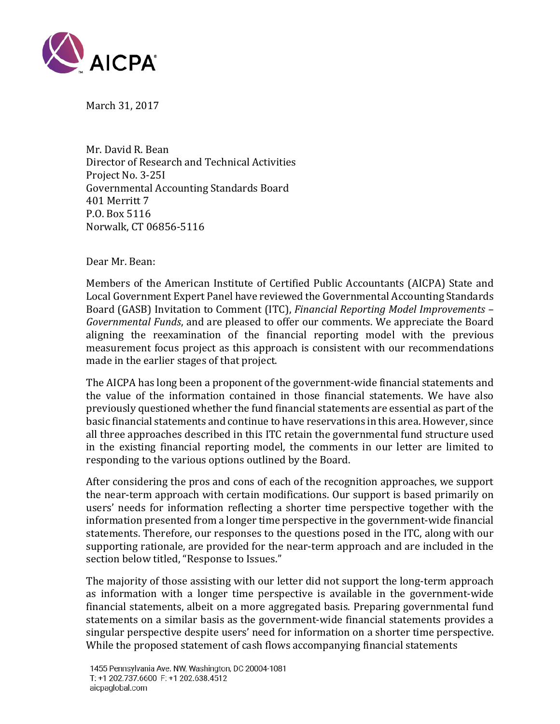

March 31, 2017

Mr. David R. Bean Director of Research and Technical Activities Project No. 3-25I Governmental Accounting Standards Board 401 Merritt 7 P.O. Box 5116 Norwalk, CT 06856-5116

Dear Mr. Bean:

Members of the American Institute of Certified Public Accountants (AICPA) State and Local Government Expert Panel have reviewed the Governmental Accounting Standards Board (GASB) Invitation to Comment (ITC), *Financial Reporting Model Improvements – Governmental Funds*, and are pleased to offer our comments. We appreciate the Board aligning the reexamination of the financial reporting model with the previous measurement focus project as this approach is consistent with our recommendations made in the earlier stages of that project.

The AICPA has long been a proponent of the government-wide financial statements and the value of the information contained in those financial statements. We have also previously questioned whether the fund financial statements are essential as part of the basic financial statements and continue to have reservations in this area. However, since all three approaches described in this ITC retain the governmental fund structure used in the existing financial reporting model, the comments in our letter are limited to responding to the various options outlined by the Board.

After considering the pros and cons of each of the recognition approaches, we support the near-term approach with certain modifications. Our support is based primarily on users' needs for information reflecting a shorter time perspective together with the information presented from a longer time perspective in the government-wide financial statements. Therefore, our responses to the questions posed in the ITC, along with our supporting rationale, are provided for the near-term approach and are included in the section below titled, "Response to Issues."

The majority of those assisting with our letter did not support the long-term approach as information with a longer time perspective is available in the government-wide financial statements, albeit on a more aggregated basis. Preparing governmental fund statements on a similar basis as the government-wide financial statements provides a singular perspective despite users' need for information on a shorter time perspective. While the proposed statement of cash flows accompanying financial statements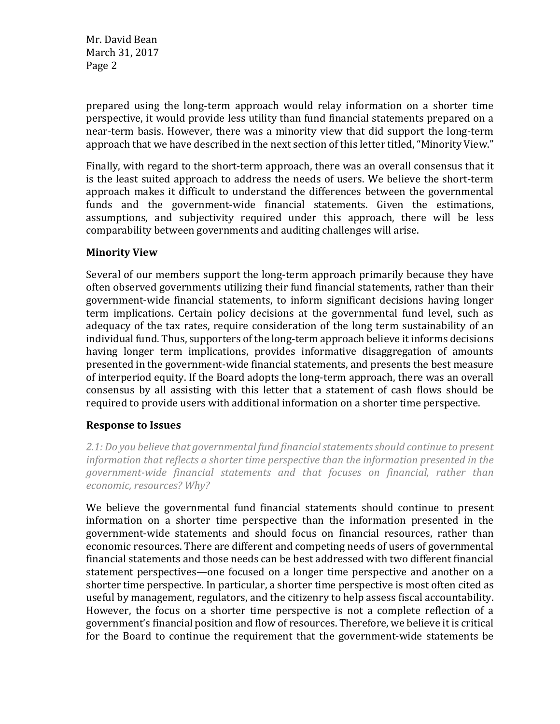prepared using the long-term approach would relay information on a shorter time perspective, it would provide less utility than fund financial statements prepared on a near-term basis. However, there was a minority view that did support the long-term approach that we have described in the next section of this letter titled, "Minority View."

Finally, with regard to the short-term approach, there was an overall consensus that it is the least suited approach to address the needs of users. We believe the short-term approach makes it difficult to understand the differences between the governmental funds and the government-wide financial statements. Given the estimations, assumptions, and subjectivity required under this approach, there will be less comparability between governments and auditing challenges will arise.

## **Minority View**

Several of our members support the long-term approach primarily because they have often observed governments utilizing their fund financial statements, rather than their government-wide financial statements, to inform significant decisions having longer term implications. Certain policy decisions at the governmental fund level, such as adequacy of the tax rates, require consideration of the long term sustainability of an individual fund. Thus, supporters of the long-term approach believe it informs decisions having longer term implications, provides informative disaggregation of amounts presented in the government-wide financial statements, and presents the best measure of interperiod equity. If the Board adopts the long-term approach, there was an overall consensus by all assisting with this letter that a statement of cash flows should be required to provide users with additional information on a shorter time perspective.

## **Response to Issues**

*2.1: Do you believe that governmental fund financial statements should continue to present information that reflects a shorter time perspective than the information presented in the government-wide financial statements and that focuses on financial, rather than economic, resources? Why?*

We believe the governmental fund financial statements should continue to present information on a shorter time perspective than the information presented in the government-wide statements and should focus on financial resources, rather than economic resources. There are different and competing needs of users of governmental financial statements and those needs can be best addressed with two different financial statement perspectives—one focused on a longer time perspective and another on a shorter time perspective. In particular, a shorter time perspective is most often cited as useful by management, regulators, and the citizenry to help assess fiscal accountability. However, the focus on a shorter time perspective is not a complete reflection of a government's financial position and flow of resources. Therefore, we believe it is critical for the Board to continue the requirement that the government-wide statements be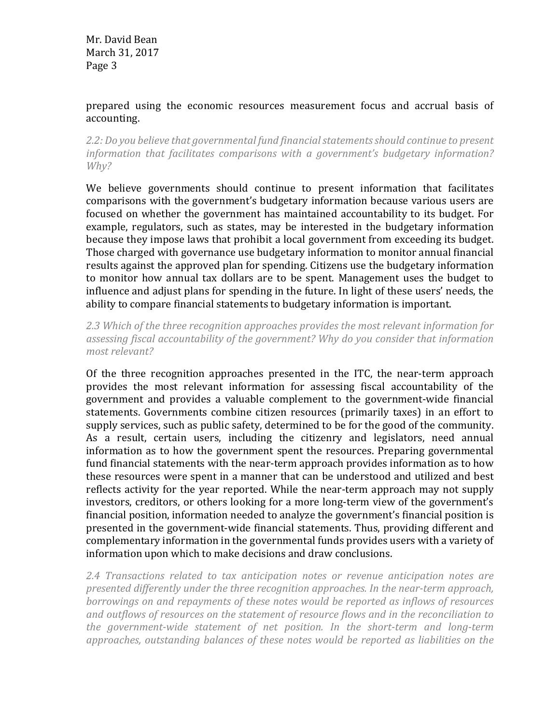## prepared using the economic resources measurement focus and accrual basis of accounting.

*2.2: Do you believe that governmental fund financial statements should continue to present information that facilitates comparisons with a government's budgetary information? Why?* 

We believe governments should continue to present information that facilitates comparisons with the government's budgetary information because various users are focused on whether the government has maintained accountability to its budget. For example, regulators, such as states, may be interested in the budgetary information because they impose laws that prohibit a local government from exceeding its budget. Those charged with governance use budgetary information to monitor annual financial results against the approved plan for spending. Citizens use the budgetary information to monitor how annual tax dollars are to be spent. Management uses the budget to influence and adjust plans for spending in the future. In light of these users' needs, the ability to compare financial statements to budgetary information is important.

*2.3 Which of the three recognition approaches provides the most relevant information for assessing fiscal accountability of the government? Why do you consider that information most relevant?* 

Of the three recognition approaches presented in the ITC, the near-term approach provides the most relevant information for assessing fiscal accountability of the government and provides a valuable complement to the government-wide financial statements. Governments combine citizen resources (primarily taxes) in an effort to supply services, such as public safety, determined to be for the good of the community. As a result, certain users, including the citizenry and legislators, need annual information as to how the government spent the resources. Preparing governmental fund financial statements with the near-term approach provides information as to how these resources were spent in a manner that can be understood and utilized and best reflects activity for the year reported. While the near-term approach may not supply investors, creditors, or others looking for a more long-term view of the government's financial position, information needed to analyze the government's financial position is presented in the government-wide financial statements. Thus, providing different and complementary information in the governmental funds provides users with a variety of information upon which to make decisions and draw conclusions.

*2.4 Transactions related to tax anticipation notes or revenue anticipation notes are presented differently under the three recognition approaches. In the near-term approach, borrowings on and repayments of these notes would be reported as inflows of resources and outflows of resources on the statement of resource flows and in the reconciliation to the government-wide statement of net position. In the short-term and long-term approaches, outstanding balances of these notes would be reported as liabilities on the*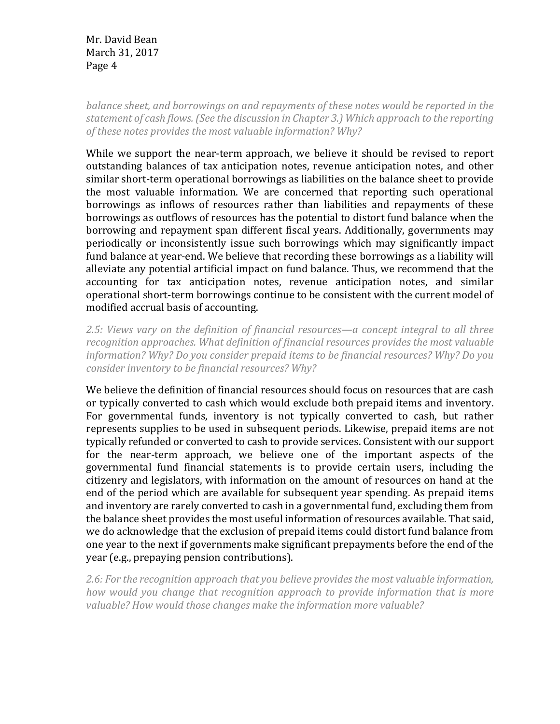*balance sheet, and borrowings on and repayments of these notes would be reported in the statement of cash flows. (See the discussion in Chapter 3.) Which approach to the reporting of these notes provides the most valuable information? Why?*

While we support the near-term approach, we believe it should be revised to report outstanding balances of tax anticipation notes, revenue anticipation notes, and other similar short-term operational borrowings as liabilities on the balance sheet to provide the most valuable information. We are concerned that reporting such operational borrowings as inflows of resources rather than liabilities and repayments of these borrowings as outflows of resources has the potential to distort fund balance when the borrowing and repayment span different fiscal years. Additionally, governments may periodically or inconsistently issue such borrowings which may significantly impact fund balance at year-end. We believe that recording these borrowings as a liability will alleviate any potential artificial impact on fund balance. Thus, we recommend that the accounting for tax anticipation notes, revenue anticipation notes, and similar operational short-term borrowings continue to be consistent with the current model of modified accrual basis of accounting.

*2.5: Views vary on the definition of financial resources—a concept integral to all three recognition approaches. What definition of financial resources provides the most valuable information? Why? Do you consider prepaid items to be financial resources? Why? Do you consider inventory to be financial resources? Why?* 

We believe the definition of financial resources should focus on resources that are cash or typically converted to cash which would exclude both prepaid items and inventory. For governmental funds, inventory is not typically converted to cash, but rather represents supplies to be used in subsequent periods. Likewise, prepaid items are not typically refunded or converted to cash to provide services. Consistent with our support for the near-term approach, we believe one of the important aspects of the governmental fund financial statements is to provide certain users, including the citizenry and legislators, with information on the amount of resources on hand at the end of the period which are available for subsequent year spending. As prepaid items and inventory are rarely converted to cash in a governmental fund, excluding them from the balance sheet provides the most useful information of resources available. That said, we do acknowledge that the exclusion of prepaid items could distort fund balance from one year to the next if governments make significant prepayments before the end of the year (e.g., prepaying pension contributions).

*2.6: For the recognition approach that you believe provides the most valuable information, how would you change that recognition approach to provide information that is more valuable? How would those changes make the information more valuable?*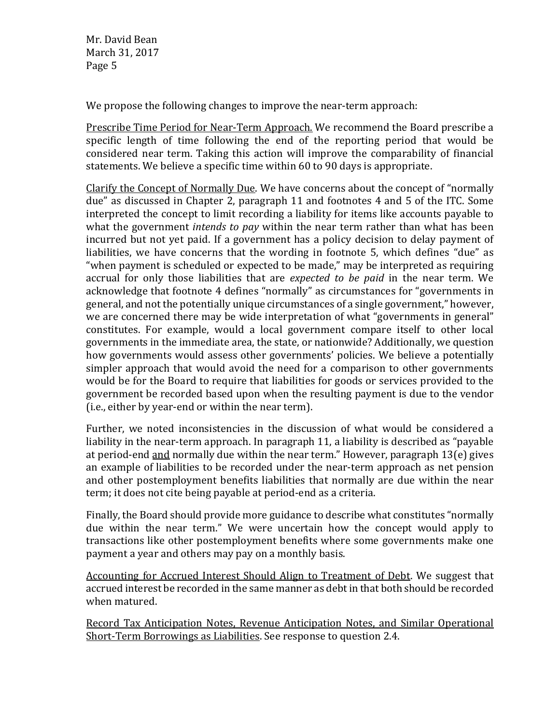We propose the following changes to improve the near-term approach:

Prescribe Time Period for Near-Term Approach. We recommend the Board prescribe a specific length of time following the end of the reporting period that would be considered near term. Taking this action will improve the comparability of financial statements. We believe a specific time within 60 to 90 days is appropriate.

Clarify the Concept of Normally Due. We have concerns about the concept of "normally due" as discussed in Chapter 2, paragraph 11 and footnotes 4 and 5 of the ITC. Some interpreted the concept to limit recording a liability for items like accounts payable to what the government *intends to pay* within the near term rather than what has been incurred but not yet paid. If a government has a policy decision to delay payment of liabilities, we have concerns that the wording in footnote 5, which defines "due" as "when payment is scheduled or expected to be made," may be interpreted as requiring accrual for only those liabilities that are *expected to be paid* in the near term. We acknowledge that footnote 4 defines "normally" as circumstances for "governments in general, and not the potentially unique circumstances of a single government," however, we are concerned there may be wide interpretation of what "governments in general" constitutes. For example, would a local government compare itself to other local governments in the immediate area, the state, or nationwide? Additionally, we question how governments would assess other governments' policies. We believe a potentially simpler approach that would avoid the need for a comparison to other governments would be for the Board to require that liabilities for goods or services provided to the government be recorded based upon when the resulting payment is due to the vendor (i.e., either by year-end or within the near term).

Further, we noted inconsistencies in the discussion of what would be considered a liability in the near-term approach. In paragraph 11, a liability is described as "payable at period-end and normally due within the near term." However, paragraph 13(e) gives an example of liabilities to be recorded under the near-term approach as net pension and other postemployment benefits liabilities that normally are due within the near term; it does not cite being payable at period-end as a criteria.

Finally, the Board should provide more guidance to describe what constitutes "normally due within the near term." We were uncertain how the concept would apply to transactions like other postemployment benefits where some governments make one payment a year and others may pay on a monthly basis.

Accounting for Accrued Interest Should Align to Treatment of Debt. We suggest that accrued interest be recorded in the same manner as debt in that both should be recorded when matured.

Record Tax Anticipation Notes, Revenue Anticipation Notes, and Similar Operational Short-Term Borrowings as Liabilities. See response to question 2.4.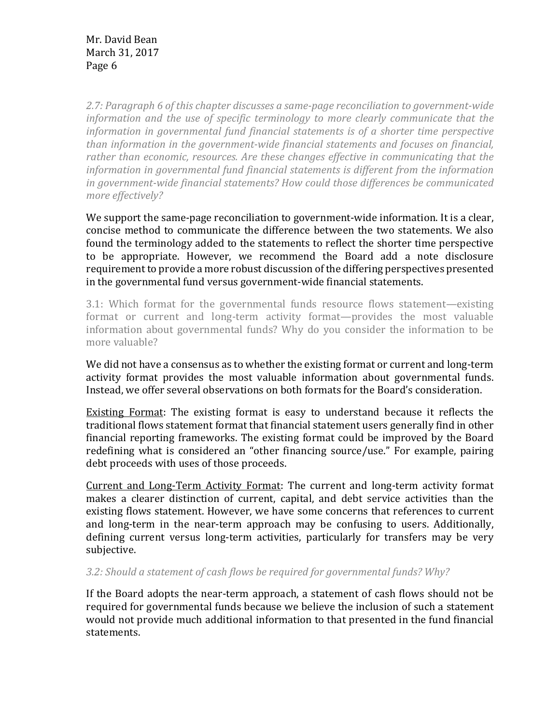*2.7: Paragraph 6 of this chapter discusses a same-page reconciliation to government-wide information and the use of specific terminology to more clearly communicate that the information in governmental fund financial statements is of a shorter time perspective than information in the government-wide financial statements and focuses on financial, rather than economic, resources. Are these changes effective in communicating that the information in governmental fund financial statements is different from the information in government-wide financial statements? How could those differences be communicated more effectively?*

We support the same-page reconciliation to government-wide information. It is a clear, concise method to communicate the difference between the two statements. We also found the terminology added to the statements to reflect the shorter time perspective to be appropriate. However, we recommend the Board add a note disclosure requirement to provide a more robust discussion of the differing perspectives presented in the governmental fund versus government-wide financial statements.

3.1: Which format for the governmental funds resource flows statement—existing format or current and long-term activity format—provides the most valuable information about governmental funds? Why do you consider the information to be more valuable?

We did not have a consensus as to whether the existing format or current and long-term activity format provides the most valuable information about governmental funds. Instead, we offer several observations on both formats for the Board's consideration.

Existing Format: The existing format is easy to understand because it reflects the traditional flows statement format that financial statement users generally find in other financial reporting frameworks. The existing format could be improved by the Board redefining what is considered an "other financing source/use." For example, pairing debt proceeds with uses of those proceeds.

Current and Long-Term Activity Format: The current and long-term activity format makes a clearer distinction of current, capital, and debt service activities than the existing flows statement. However, we have some concerns that references to current and long-term in the near-term approach may be confusing to users. Additionally, defining current versus long-term activities, particularly for transfers may be very subjective.

*3.2: Should a statement of cash flows be required for governmental funds? Why?* 

If the Board adopts the near-term approach, a statement of cash flows should not be required for governmental funds because we believe the inclusion of such a statement would not provide much additional information to that presented in the fund financial statements.